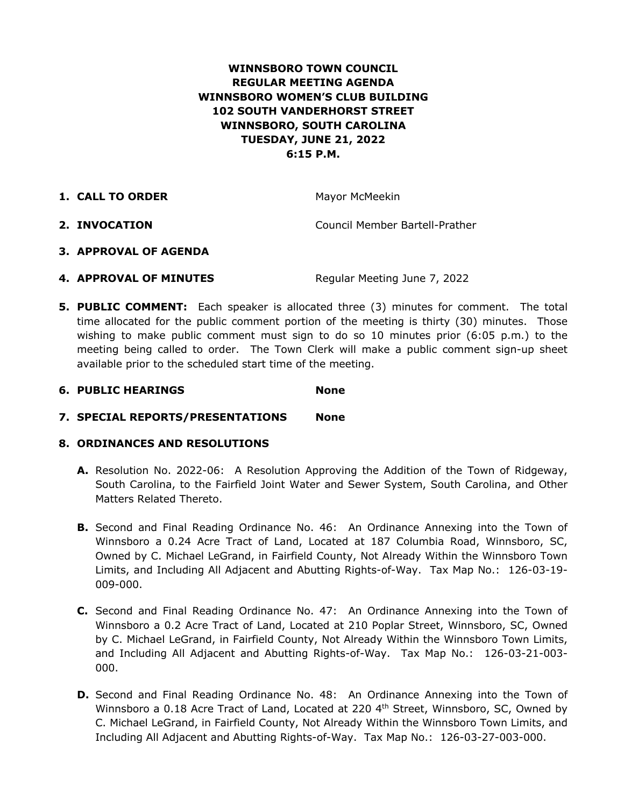# **WINNSBORO TOWN COUNCIL REGULAR MEETING AGENDA WINNSBORO WOMEN'S CLUB BUILDING 102 SOUTH VANDERHORST STREET WINNSBORO, SOUTH CAROLINA TUESDAY, JUNE 21, 2022 6:15 P.M.**

**1. CALL TO ORDER** Mayor McMeekin

**2. INVOCATION** Council Member Bartell-Prather

- **3. APPROVAL OF AGENDA**
- **4. APPROVAL OF MINUTES** Reqular Meeting June 7, 2022
- **5. PUBLIC COMMENT:** Each speaker is allocated three (3) minutes for comment. The total time allocated for the public comment portion of the meeting is thirty (30) minutes. Those wishing to make public comment must sign to do so 10 minutes prior (6:05 p.m.) to the meeting being called to order. The Town Clerk will make a public comment sign-up sheet available prior to the scheduled start time of the meeting.

# **6. PUBLIC HEARINGS None**

**7. SPECIAL REPORTS/PRESENTATIONS None**

# **8. ORDINANCES AND RESOLUTIONS**

- **A.** Resolution No. 2022-06: A Resolution Approving the Addition of the Town of Ridgeway, South Carolina, to the Fairfield Joint Water and Sewer System, South Carolina, and Other Matters Related Thereto.
- **B.** Second and Final Reading Ordinance No. 46: An Ordinance Annexing into the Town of Winnsboro a 0.24 Acre Tract of Land, Located at 187 Columbia Road, Winnsboro, SC, Owned by C. Michael LeGrand, in Fairfield County, Not Already Within the Winnsboro Town Limits, and Including All Adjacent and Abutting Rights-of-Way. Tax Map No.: 126-03-19- 009-000.
- **C.** Second and Final Reading Ordinance No. 47: An Ordinance Annexing into the Town of Winnsboro a 0.2 Acre Tract of Land, Located at 210 Poplar Street, Winnsboro, SC, Owned by C. Michael LeGrand, in Fairfield County, Not Already Within the Winnsboro Town Limits, and Including All Adjacent and Abutting Rights-of-Way. Tax Map No.: 126-03-21-003- 000.
- **D.** Second and Final Reading Ordinance No. 48: An Ordinance Annexing into the Town of Winnsboro a 0.18 Acre Tract of Land, Located at 220  $4<sup>th</sup>$  Street, Winnsboro, SC, Owned by C. Michael LeGrand, in Fairfield County, Not Already Within the Winnsboro Town Limits, and Including All Adjacent and Abutting Rights-of-Way. Tax Map No.: 126-03-27-003-000.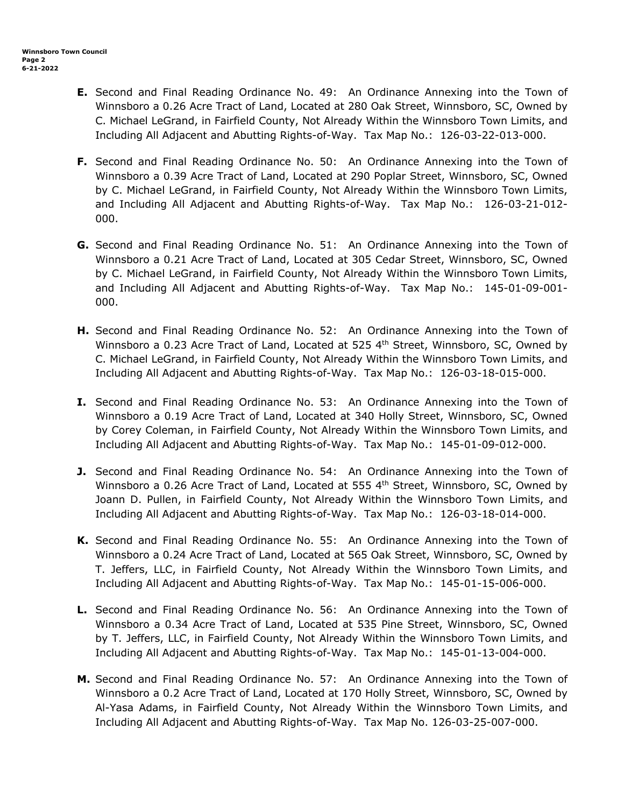- **E.** Second and Final Reading Ordinance No. 49: An Ordinance Annexing into the Town of Winnsboro a 0.26 Acre Tract of Land, Located at 280 Oak Street, Winnsboro, SC, Owned by C. Michael LeGrand, in Fairfield County, Not Already Within the Winnsboro Town Limits, and Including All Adjacent and Abutting Rights-of-Way. Tax Map No.: 126-03-22-013-000.
- **F.** Second and Final Reading Ordinance No. 50: An Ordinance Annexing into the Town of Winnsboro a 0.39 Acre Tract of Land, Located at 290 Poplar Street, Winnsboro, SC, Owned by C. Michael LeGrand, in Fairfield County, Not Already Within the Winnsboro Town Limits, and Including All Adjacent and Abutting Rights-of-Way. Tax Map No.: 126-03-21-012- 000.
- **G.** Second and Final Reading Ordinance No. 51: An Ordinance Annexing into the Town of Winnsboro a 0.21 Acre Tract of Land, Located at 305 Cedar Street, Winnsboro, SC, Owned by C. Michael LeGrand, in Fairfield County, Not Already Within the Winnsboro Town Limits, and Including All Adjacent and Abutting Rights-of-Way. Tax Map No.: 145-01-09-001- 000.
- **H.** Second and Final Reading Ordinance No. 52: An Ordinance Annexing into the Town of Winnsboro a 0.23 Acre Tract of Land, Located at 525  $4<sup>th</sup>$  Street, Winnsboro, SC, Owned by C. Michael LeGrand, in Fairfield County, Not Already Within the Winnsboro Town Limits, and Including All Adjacent and Abutting Rights-of-Way. Tax Map No.: 126-03-18-015-000.
- **I.** Second and Final Reading Ordinance No. 53: An Ordinance Annexing into the Town of Winnsboro a 0.19 Acre Tract of Land, Located at 340 Holly Street, Winnsboro, SC, Owned by Corey Coleman, in Fairfield County, Not Already Within the Winnsboro Town Limits, and Including All Adjacent and Abutting Rights-of-Way. Tax Map No.: 145-01-09-012-000.
- **J.** Second and Final Reading Ordinance No. 54: An Ordinance Annexing into the Town of Winnsboro a 0.26 Acre Tract of Land, Located at 555  $4<sup>th</sup>$  Street, Winnsboro, SC, Owned by Joann D. Pullen, in Fairfield County, Not Already Within the Winnsboro Town Limits, and Including All Adjacent and Abutting Rights-of-Way. Tax Map No.: 126-03-18-014-000.
- **K.** Second and Final Reading Ordinance No. 55: An Ordinance Annexing into the Town of Winnsboro a 0.24 Acre Tract of Land, Located at 565 Oak Street, Winnsboro, SC, Owned by T. Jeffers, LLC, in Fairfield County, Not Already Within the Winnsboro Town Limits, and Including All Adjacent and Abutting Rights-of-Way. Tax Map No.: 145-01-15-006-000.
- **L.** Second and Final Reading Ordinance No. 56: An Ordinance Annexing into the Town of Winnsboro a 0.34 Acre Tract of Land, Located at 535 Pine Street, Winnsboro, SC, Owned by T. Jeffers, LLC, in Fairfield County, Not Already Within the Winnsboro Town Limits, and Including All Adjacent and Abutting Rights-of-Way. Tax Map No.: 145-01-13-004-000.
- **M.** Second and Final Reading Ordinance No. 57: An Ordinance Annexing into the Town of Winnsboro a 0.2 Acre Tract of Land, Located at 170 Holly Street, Winnsboro, SC, Owned by Al-Yasa Adams, in Fairfield County, Not Already Within the Winnsboro Town Limits, and Including All Adjacent and Abutting Rights-of-Way. Tax Map No. 126-03-25-007-000.